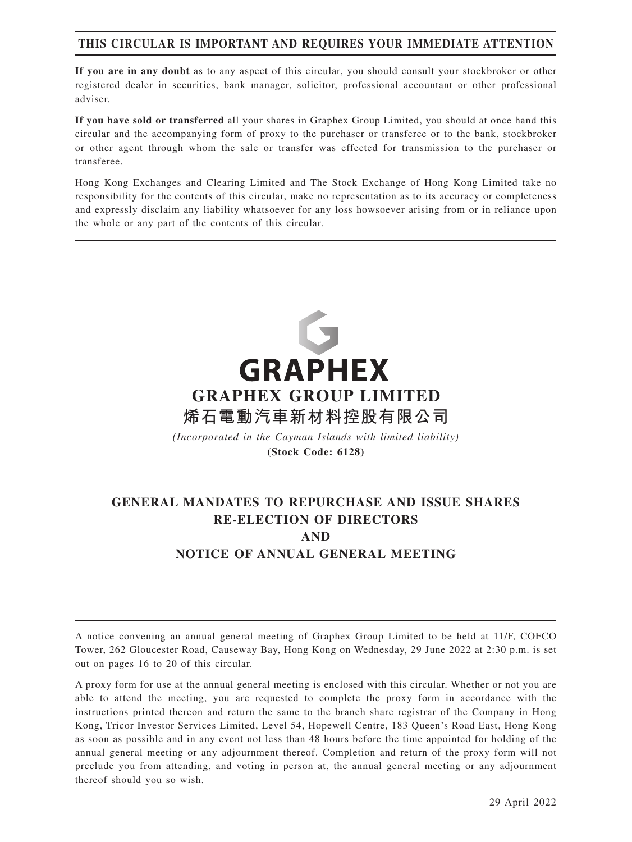# **THIS CIRCULAR IS IMPORTANT AND REQUIRES YOUR IMMEDIATE ATTENTION**

**If you are in any doubt** as to any aspect of this circular, you should consult your stockbroker or other registered dealer in securities, bank manager, solicitor, professional accountant or other professional adviser.

**If you have sold or transferred** all your shares in Graphex Group Limited, you should at once hand this circular and the accompanying form of proxy to the purchaser or transferee or to the bank, stockbroker or other agent through whom the sale or transfer was effected for transmission to the purchaser or transferee.

Hong Kong Exchanges and Clearing Limited and The Stock Exchange of Hong Kong Limited take no responsibility for the contents of this circular, make no representation as to its accuracy or completeness and expressly disclaim any liability whatsoever for any loss howsoever arising from or in reliance upon the whole or any part of the contents of this circular.



*(Incorporated in the Cayman Islands with limited liability)* **(Stock Code: 6128)**

# **GENERAL MANDATES TO REPURCHASE AND ISSUE SHARES RE-ELECTION OF DIRECTORS AND NOTICE OF ANNUAL GENERAL MEETING**

A notice convening an annual general meeting of Graphex Group Limited to be held at 11/F, COFCO Tower, 262 Gloucester Road, Causeway Bay, Hong Kong on Wednesday, 29 June 2022 at 2:30 p.m. is set out on pages 16 to 20 of this circular.

A proxy form for use at the annual general meeting is enclosed with this circular. Whether or not you are able to attend the meeting, you are requested to complete the proxy form in accordance with the instructions printed thereon and return the same to the branch share registrar of the Company in Hong Kong, Tricor Investor Services Limited, Level 54, Hopewell Centre, 183 Queen's Road East, Hong Kong as soon as possible and in any event not less than 48 hours before the time appointed for holding of the annual general meeting or any adjournment thereof. Completion and return of the proxy form will not preclude you from attending, and voting in person at, the annual general meeting or any adjournment thereof should you so wish.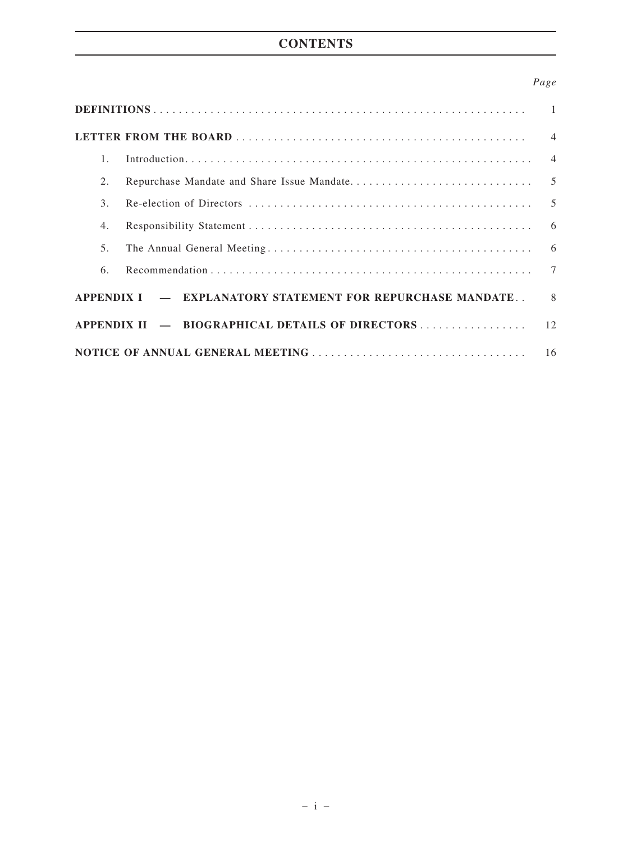# **CONTENTS**

# *Page*

| $1_{\odot}$                                                                |  |  |  |
|----------------------------------------------------------------------------|--|--|--|
| 2.                                                                         |  |  |  |
| 3.                                                                         |  |  |  |
| 4.                                                                         |  |  |  |
| 5.                                                                         |  |  |  |
| 6.                                                                         |  |  |  |
| APPENDIX I — EXPLANATORY STATEMENT FOR REPURCHASE MANDATE<br>$\mathcal{R}$ |  |  |  |
|                                                                            |  |  |  |
|                                                                            |  |  |  |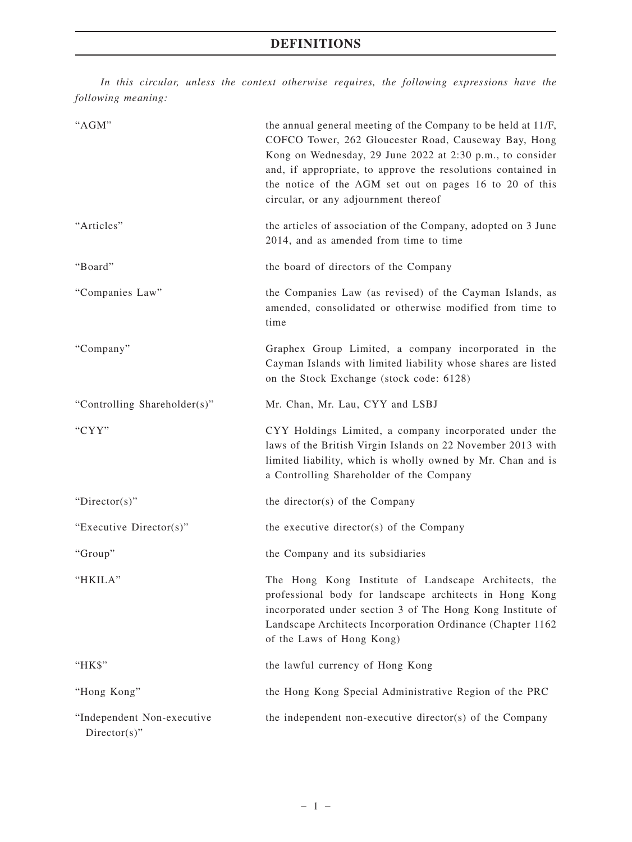*In this circular, unless the context otherwise requires, the following expressions have the following meaning:*

| "AGM"                                          | the annual general meeting of the Company to be held at 11/F,<br>COFCO Tower, 262 Gloucester Road, Causeway Bay, Hong<br>Kong on Wednesday, 29 June 2022 at 2:30 p.m., to consider<br>and, if appropriate, to approve the resolutions contained in<br>the notice of the AGM set out on pages 16 to 20 of this<br>circular, or any adjournment thereof |
|------------------------------------------------|-------------------------------------------------------------------------------------------------------------------------------------------------------------------------------------------------------------------------------------------------------------------------------------------------------------------------------------------------------|
| "Articles"                                     | the articles of association of the Company, adopted on 3 June<br>2014, and as amended from time to time                                                                                                                                                                                                                                               |
| "Board"                                        | the board of directors of the Company                                                                                                                                                                                                                                                                                                                 |
| "Companies Law"                                | the Companies Law (as revised) of the Cayman Islands, as<br>amended, consolidated or otherwise modified from time to<br>time                                                                                                                                                                                                                          |
| "Company"                                      | Graphex Group Limited, a company incorporated in the<br>Cayman Islands with limited liability whose shares are listed<br>on the Stock Exchange (stock code: 6128)                                                                                                                                                                                     |
| "Controlling Shareholder(s)"                   | Mr. Chan, Mr. Lau, CYY and LSBJ                                                                                                                                                                                                                                                                                                                       |
| "CYY"                                          | CYY Holdings Limited, a company incorporated under the<br>laws of the British Virgin Islands on 22 November 2013 with<br>limited liability, which is wholly owned by Mr. Chan and is<br>a Controlling Shareholder of the Company                                                                                                                      |
| " $Directory$ "                                | the director(s) of the Company                                                                                                                                                                                                                                                                                                                        |
| "Executive Director(s)"                        | the executive director( $s$ ) of the Company                                                                                                                                                                                                                                                                                                          |
| "Group"                                        | the Company and its subsidiaries                                                                                                                                                                                                                                                                                                                      |
| "HKILA"                                        | The Hong Kong Institute of Landscape Architects, the<br>professional body for landscape architects in Hong Kong<br>incorporated under section 3 of The Hong Kong Institute of<br>Landscape Architects Incorporation Ordinance (Chapter 1162<br>of the Laws of Hong Kong)                                                                              |
| "HK\$"                                         | the lawful currency of Hong Kong                                                                                                                                                                                                                                                                                                                      |
| "Hong Kong"                                    | the Hong Kong Special Administrative Region of the PRC                                                                                                                                                                                                                                                                                                |
| "Independent Non-executive<br>$Directory(s)$ " | the independent non-executive director(s) of the Company                                                                                                                                                                                                                                                                                              |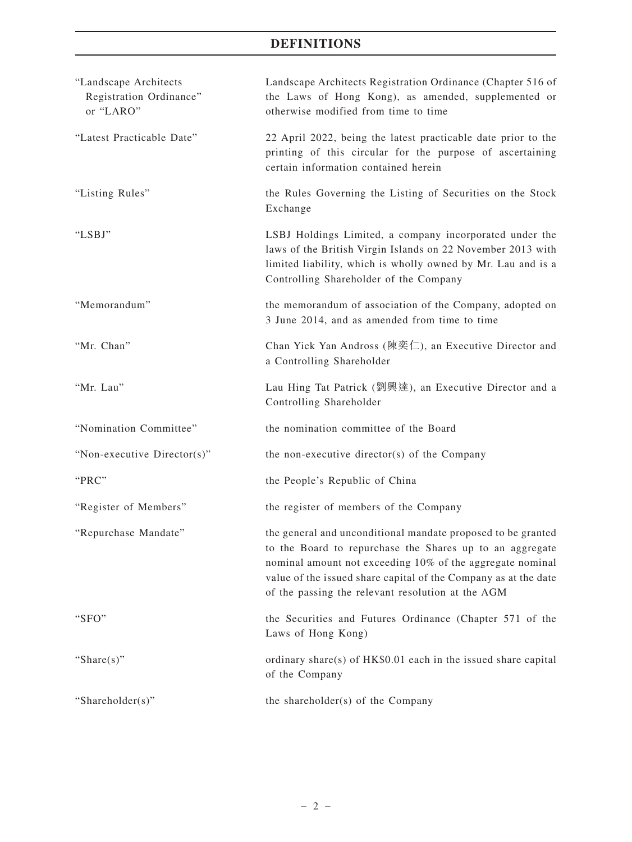# **DEFINITIONS**

| Landscape Architects Registration Ordinance (Chapter 516 of<br>the Laws of Hong Kong), as amended, supplemented or<br>otherwise modified from time to time                                                                                                                                                    |
|---------------------------------------------------------------------------------------------------------------------------------------------------------------------------------------------------------------------------------------------------------------------------------------------------------------|
| 22 April 2022, being the latest practicable date prior to the<br>printing of this circular for the purpose of ascertaining<br>certain information contained herein                                                                                                                                            |
| the Rules Governing the Listing of Securities on the Stock<br>Exchange                                                                                                                                                                                                                                        |
| LSBJ Holdings Limited, a company incorporated under the<br>laws of the British Virgin Islands on 22 November 2013 with<br>limited liability, which is wholly owned by Mr. Lau and is a<br>Controlling Shareholder of the Company                                                                              |
| the memorandum of association of the Company, adopted on<br>3 June 2014, and as amended from time to time                                                                                                                                                                                                     |
| Chan Yick Yan Andross (陳奕仁), an Executive Director and<br>a Controlling Shareholder                                                                                                                                                                                                                           |
| Lau Hing Tat Patrick (劉興達), an Executive Director and a<br>Controlling Shareholder                                                                                                                                                                                                                            |
| the nomination committee of the Board                                                                                                                                                                                                                                                                         |
| the non-executive director(s) of the Company                                                                                                                                                                                                                                                                  |
| the People's Republic of China                                                                                                                                                                                                                                                                                |
| the register of members of the Company                                                                                                                                                                                                                                                                        |
| the general and unconditional mandate proposed to be granted<br>to the Board to repurchase the Shares up to an aggregate<br>nominal amount not exceeding 10% of the aggregate nominal<br>value of the issued share capital of the Company as at the date<br>of the passing the relevant resolution at the AGM |
| the Securities and Futures Ordinance (Chapter 571 of the<br>Laws of Hong Kong)                                                                                                                                                                                                                                |
| ordinary share(s) of HK\$0.01 each in the issued share capital<br>of the Company                                                                                                                                                                                                                              |
| the shareholder(s) of the Company                                                                                                                                                                                                                                                                             |
|                                                                                                                                                                                                                                                                                                               |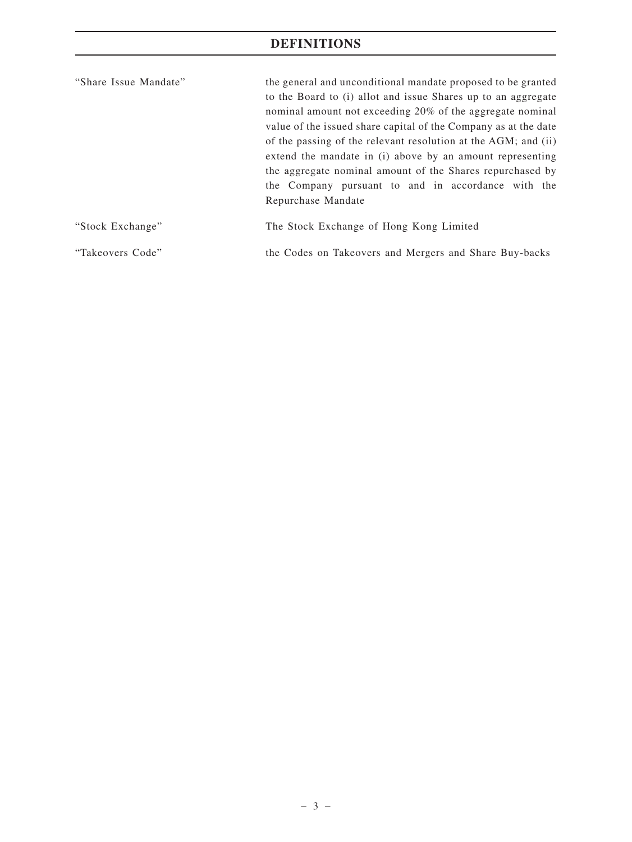# **DEFINITIONS**

| "Share Issue Mandate" | the general and unconditional mandate proposed to be granted<br>to the Board to (i) allot and issue Shares up to an aggregate<br>nominal amount not exceeding 20% of the aggregate nominal<br>value of the issued share capital of the Company as at the date<br>of the passing of the relevant resolution at the AGM; and (ii)<br>extend the mandate in (i) above by an amount representing<br>the aggregate nominal amount of the Shares repurchased by<br>the Company pursuant to and in accordance with the<br>Repurchase Mandate |
|-----------------------|---------------------------------------------------------------------------------------------------------------------------------------------------------------------------------------------------------------------------------------------------------------------------------------------------------------------------------------------------------------------------------------------------------------------------------------------------------------------------------------------------------------------------------------|
| "Stock Exchange"      | The Stock Exchange of Hong Kong Limited                                                                                                                                                                                                                                                                                                                                                                                                                                                                                               |

"Takeovers Code" the Codes on Takeovers and Mergers and Share Buy-backs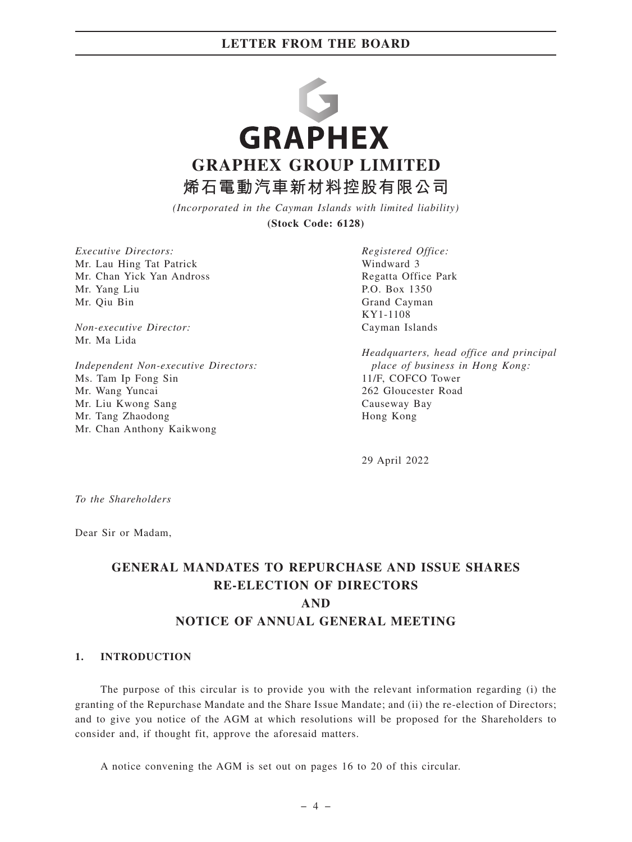

*(Incorporated in the Cayman Islands with limited liability)*

**(Stock Code: 6128)**

*Executive Directors:* Mr. Lau Hing Tat Patrick Mr. Chan Yick Yan Andross Mr. Yang Liu Mr. Qiu Bin

*Non-executive Director:* Mr. Ma Lida

*Independent Non-executive Directors:* Ms. Tam Ip Fong Sin Mr. Wang Yuncai Mr. Liu Kwong Sang Mr. Tang Zhaodong Mr. Chan Anthony Kaikwong

*Registered Office:* Windward 3 Regatta Office Park P.O. Box 1350 Grand Cayman KY1-1108 Cayman Islands

*Headquarters, head office and principal place of business in Hong Kong:* 11/F, COFCO Tower 262 Gloucester Road Causeway Bay Hong Kong

29 April 2022

*To the Shareholders*

Dear Sir or Madam,

# **GENERAL MANDATES TO REPURCHASE AND ISSUE SHARES RE-ELECTION OF DIRECTORS AND NOTICE OF ANNUAL GENERAL MEETING**

#### **1. INTRODUCTION**

The purpose of this circular is to provide you with the relevant information regarding (i) the granting of the Repurchase Mandate and the Share Issue Mandate; and (ii) the re-election of Directors; and to give you notice of the AGM at which resolutions will be proposed for the Shareholders to consider and, if thought fit, approve the aforesaid matters.

A notice convening the AGM is set out on pages 16 to 20 of this circular.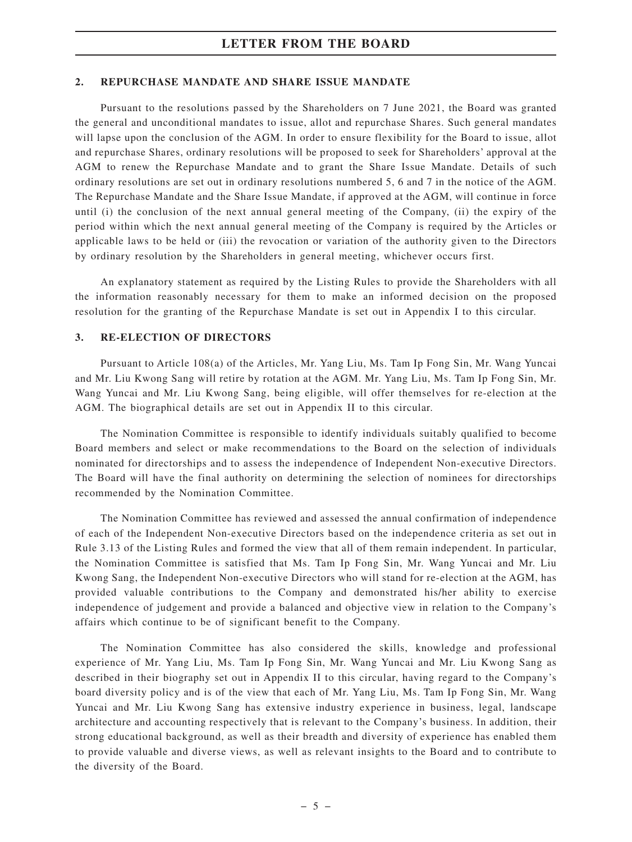#### **2. REPURCHASE MANDATE AND SHARE ISSUE MANDATE**

Pursuant to the resolutions passed by the Shareholders on 7 June 2021, the Board was granted the general and unconditional mandates to issue, allot and repurchase Shares. Such general mandates will lapse upon the conclusion of the AGM. In order to ensure flexibility for the Board to issue, allot and repurchase Shares, ordinary resolutions will be proposed to seek for Shareholders' approval at the AGM to renew the Repurchase Mandate and to grant the Share Issue Mandate. Details of such ordinary resolutions are set out in ordinary resolutions numbered 5, 6 and 7 in the notice of the AGM. The Repurchase Mandate and the Share Issue Mandate, if approved at the AGM, will continue in force until (i) the conclusion of the next annual general meeting of the Company, (ii) the expiry of the period within which the next annual general meeting of the Company is required by the Articles or applicable laws to be held or (iii) the revocation or variation of the authority given to the Directors by ordinary resolution by the Shareholders in general meeting, whichever occurs first.

An explanatory statement as required by the Listing Rules to provide the Shareholders with all the information reasonably necessary for them to make an informed decision on the proposed resolution for the granting of the Repurchase Mandate is set out in Appendix I to this circular.

#### **3. RE-ELECTION OF DIRECTORS**

Pursuant to Article 108(a) of the Articles, Mr. Yang Liu, Ms. Tam Ip Fong Sin, Mr. Wang Yuncai and Mr. Liu Kwong Sang will retire by rotation at the AGM. Mr. Yang Liu, Ms. Tam Ip Fong Sin, Mr. Wang Yuncai and Mr. Liu Kwong Sang, being eligible, will offer themselves for re-election at the AGM. The biographical details are set out in Appendix II to this circular.

The Nomination Committee is responsible to identify individuals suitably qualified to become Board members and select or make recommendations to the Board on the selection of individuals nominated for directorships and to assess the independence of Independent Non-executive Directors. The Board will have the final authority on determining the selection of nominees for directorships recommended by the Nomination Committee.

The Nomination Committee has reviewed and assessed the annual confirmation of independence of each of the Independent Non-executive Directors based on the independence criteria as set out in Rule 3.13 of the Listing Rules and formed the view that all of them remain independent. In particular, the Nomination Committee is satisfied that Ms. Tam Ip Fong Sin, Mr. Wang Yuncai and Mr. Liu Kwong Sang, the Independent Non-executive Directors who will stand for re-election at the AGM, has provided valuable contributions to the Company and demonstrated his/her ability to exercise independence of judgement and provide a balanced and objective view in relation to the Company's affairs which continue to be of significant benefit to the Company.

The Nomination Committee has also considered the skills, knowledge and professional experience of Mr. Yang Liu, Ms. Tam Ip Fong Sin, Mr. Wang Yuncai and Mr. Liu Kwong Sang as described in their biography set out in Appendix II to this circular, having regard to the Company's board diversity policy and is of the view that each of Mr. Yang Liu, Ms. Tam Ip Fong Sin, Mr. Wang Yuncai and Mr. Liu Kwong Sang has extensive industry experience in business, legal, landscape architecture and accounting respectively that is relevant to the Company's business. In addition, their strong educational background, as well as their breadth and diversity of experience has enabled them to provide valuable and diverse views, as well as relevant insights to the Board and to contribute to the diversity of the Board.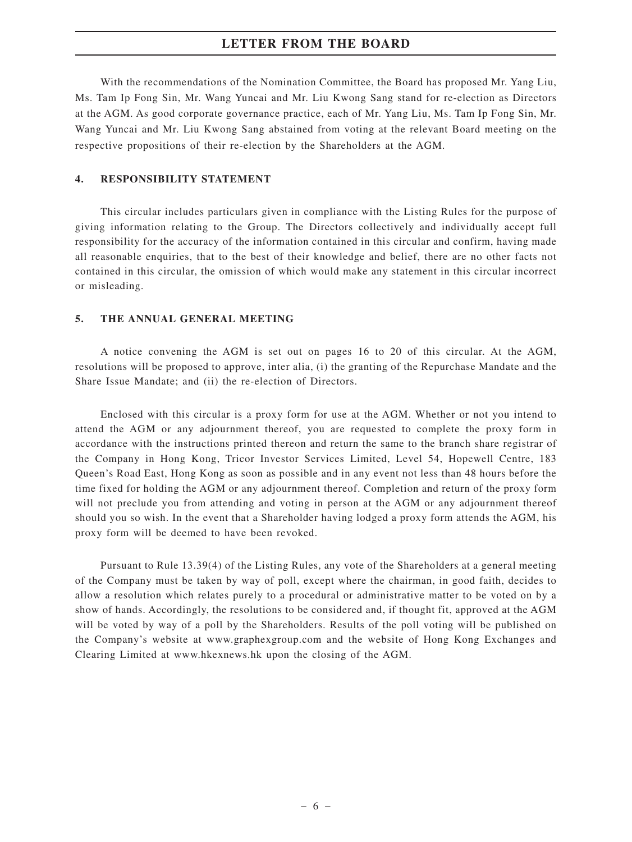With the recommendations of the Nomination Committee, the Board has proposed Mr. Yang Liu, Ms. Tam Ip Fong Sin, Mr. Wang Yuncai and Mr. Liu Kwong Sang stand for re-election as Directors at the AGM. As good corporate governance practice, each of Mr. Yang Liu, Ms. Tam Ip Fong Sin, Mr. Wang Yuncai and Mr. Liu Kwong Sang abstained from voting at the relevant Board meeting on the respective propositions of their re-election by the Shareholders at the AGM.

### **4. RESPONSIBILITY STATEMENT**

This circular includes particulars given in compliance with the Listing Rules for the purpose of giving information relating to the Group. The Directors collectively and individually accept full responsibility for the accuracy of the information contained in this circular and confirm, having made all reasonable enquiries, that to the best of their knowledge and belief, there are no other facts not contained in this circular, the omission of which would make any statement in this circular incorrect or misleading.

#### **5. THE ANNUAL GENERAL MEETING**

A notice convening the AGM is set out on pages 16 to 20 of this circular. At the AGM, resolutions will be proposed to approve, inter alia, (i) the granting of the Repurchase Mandate and the Share Issue Mandate; and (ii) the re-election of Directors.

Enclosed with this circular is a proxy form for use at the AGM. Whether or not you intend to attend the AGM or any adjournment thereof, you are requested to complete the proxy form in accordance with the instructions printed thereon and return the same to the branch share registrar of the Company in Hong Kong, Tricor Investor Services Limited, Level 54, Hopewell Centre, 183 Queen's Road East, Hong Kong as soon as possible and in any event not less than 48 hours before the time fixed for holding the AGM or any adjournment thereof. Completion and return of the proxy form will not preclude you from attending and voting in person at the AGM or any adjournment thereof should you so wish. In the event that a Shareholder having lodged a proxy form attends the AGM, his proxy form will be deemed to have been revoked.

Pursuant to Rule 13.39(4) of the Listing Rules, any vote of the Shareholders at a general meeting of the Company must be taken by way of poll, except where the chairman, in good faith, decides to allow a resolution which relates purely to a procedural or administrative matter to be voted on by a show of hands. Accordingly, the resolutions to be considered and, if thought fit, approved at the AGM will be voted by way of a poll by the Shareholders. Results of the poll voting will be published on the Company's website at www.graphexgroup.com and the website of Hong Kong Exchanges and Clearing Limited at www.hkexnews.hk upon the closing of the AGM.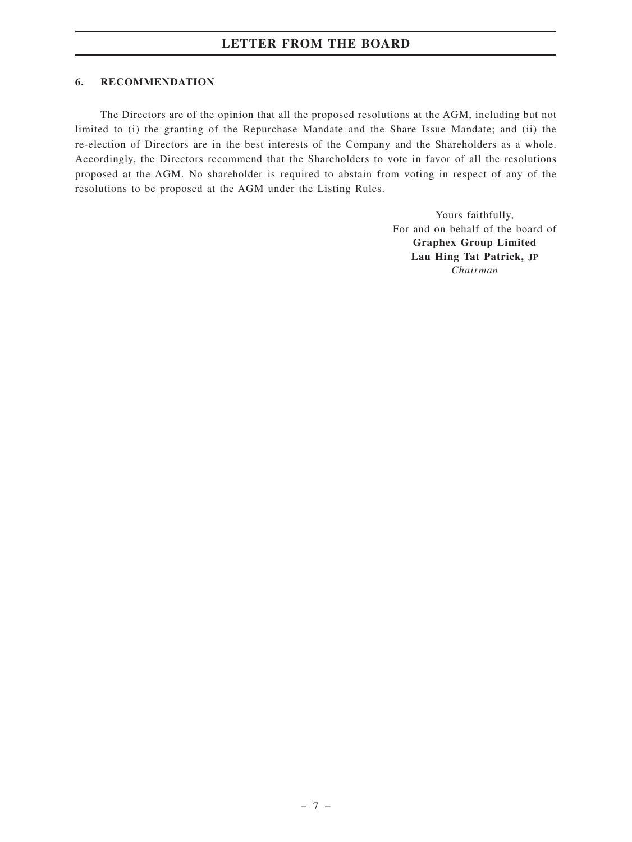### **6. RECOMMENDATION**

The Directors are of the opinion that all the proposed resolutions at the AGM, including but not limited to (i) the granting of the Repurchase Mandate and the Share Issue Mandate; and (ii) the re-election of Directors are in the best interests of the Company and the Shareholders as a whole. Accordingly, the Directors recommend that the Shareholders to vote in favor of all the resolutions proposed at the AGM. No shareholder is required to abstain from voting in respect of any of the resolutions to be proposed at the AGM under the Listing Rules.

> Yours faithfully, For and on behalf of the board of **Graphex Group Limited Lau Hing Tat Patrick, JP** *Chairman*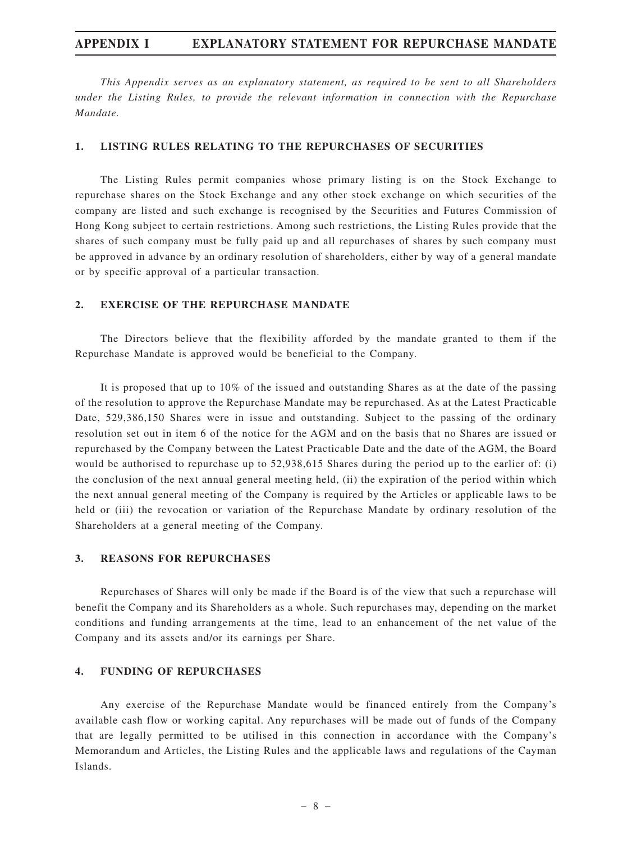*This Appendix serves as an explanatory statement, as required to be sent to all Shareholders under the Listing Rules, to provide the relevant information in connection with the Repurchase Mandate.*

#### **1. LISTING RULES RELATING TO THE REPURCHASES OF SECURITIES**

The Listing Rules permit companies whose primary listing is on the Stock Exchange to repurchase shares on the Stock Exchange and any other stock exchange on which securities of the company are listed and such exchange is recognised by the Securities and Futures Commission of Hong Kong subject to certain restrictions. Among such restrictions, the Listing Rules provide that the shares of such company must be fully paid up and all repurchases of shares by such company must be approved in advance by an ordinary resolution of shareholders, either by way of a general mandate or by specific approval of a particular transaction.

### **2. EXERCISE OF THE REPURCHASE MANDATE**

The Directors believe that the flexibility afforded by the mandate granted to them if the Repurchase Mandate is approved would be beneficial to the Company.

It is proposed that up to 10% of the issued and outstanding Shares as at the date of the passing of the resolution to approve the Repurchase Mandate may be repurchased. As at the Latest Practicable Date, 529,386,150 Shares were in issue and outstanding. Subject to the passing of the ordinary resolution set out in item 6 of the notice for the AGM and on the basis that no Shares are issued or repurchased by the Company between the Latest Practicable Date and the date of the AGM, the Board would be authorised to repurchase up to 52,938,615 Shares during the period up to the earlier of: (i) the conclusion of the next annual general meeting held, (ii) the expiration of the period within which the next annual general meeting of the Company is required by the Articles or applicable laws to be held or (iii) the revocation or variation of the Repurchase Mandate by ordinary resolution of the Shareholders at a general meeting of the Company.

#### **3. REASONS FOR REPURCHASES**

Repurchases of Shares will only be made if the Board is of the view that such a repurchase will benefit the Company and its Shareholders as a whole. Such repurchases may, depending on the market conditions and funding arrangements at the time, lead to an enhancement of the net value of the Company and its assets and/or its earnings per Share.

#### **4. FUNDING OF REPURCHASES**

Any exercise of the Repurchase Mandate would be financed entirely from the Company's available cash flow or working capital. Any repurchases will be made out of funds of the Company that are legally permitted to be utilised in this connection in accordance with the Company's Memorandum and Articles, the Listing Rules and the applicable laws and regulations of the Cayman Islands.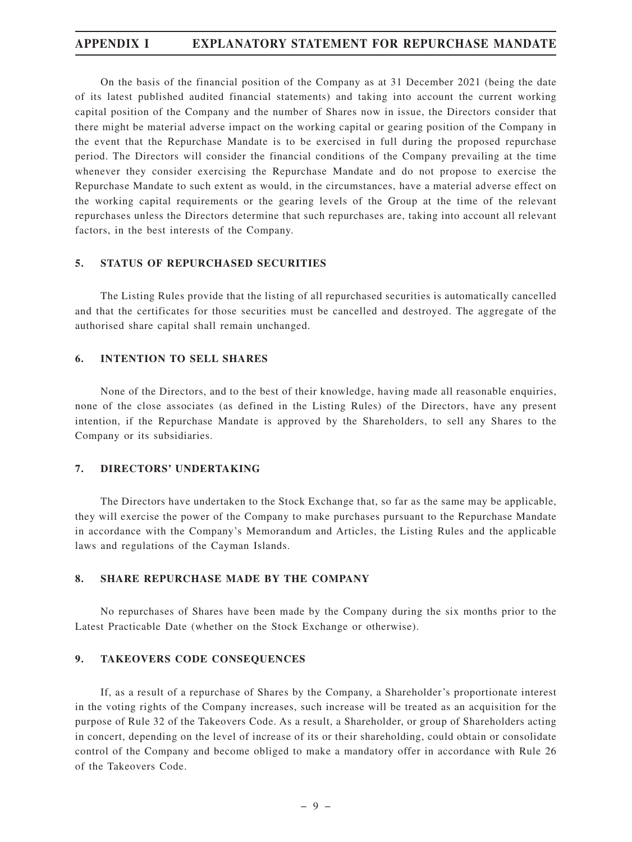On the basis of the financial position of the Company as at 31 December 2021 (being the date of its latest published audited financial statements) and taking into account the current working capital position of the Company and the number of Shares now in issue, the Directors consider that there might be material adverse impact on the working capital or gearing position of the Company in the event that the Repurchase Mandate is to be exercised in full during the proposed repurchase period. The Directors will consider the financial conditions of the Company prevailing at the time whenever they consider exercising the Repurchase Mandate and do not propose to exercise the Repurchase Mandate to such extent as would, in the circumstances, have a material adverse effect on the working capital requirements or the gearing levels of the Group at the time of the relevant repurchases unless the Directors determine that such repurchases are, taking into account all relevant factors, in the best interests of the Company.

#### **5. STATUS OF REPURCHASED SECURITIES**

The Listing Rules provide that the listing of all repurchased securities is automatically cancelled and that the certificates for those securities must be cancelled and destroyed. The aggregate of the authorised share capital shall remain unchanged.

#### **6. INTENTION TO SELL SHARES**

None of the Directors, and to the best of their knowledge, having made all reasonable enquiries, none of the close associates (as defined in the Listing Rules) of the Directors, have any present intention, if the Repurchase Mandate is approved by the Shareholders, to sell any Shares to the Company or its subsidiaries.

#### **7. DIRECTORS' UNDERTAKING**

The Directors have undertaken to the Stock Exchange that, so far as the same may be applicable, they will exercise the power of the Company to make purchases pursuant to the Repurchase Mandate in accordance with the Company's Memorandum and Articles, the Listing Rules and the applicable laws and regulations of the Cayman Islands.

### **8. SHARE REPURCHASE MADE BY THE COMPANY**

No repurchases of Shares have been made by the Company during the six months prior to the Latest Practicable Date (whether on the Stock Exchange or otherwise).

#### **9. TAKEOVERS CODE CONSEQUENCES**

If, as a result of a repurchase of Shares by the Company, a Shareholder's proportionate interest in the voting rights of the Company increases, such increase will be treated as an acquisition for the purpose of Rule 32 of the Takeovers Code. As a result, a Shareholder, or group of Shareholders acting in concert, depending on the level of increase of its or their shareholding, could obtain or consolidate control of the Company and become obliged to make a mandatory offer in accordance with Rule 26 of the Takeovers Code.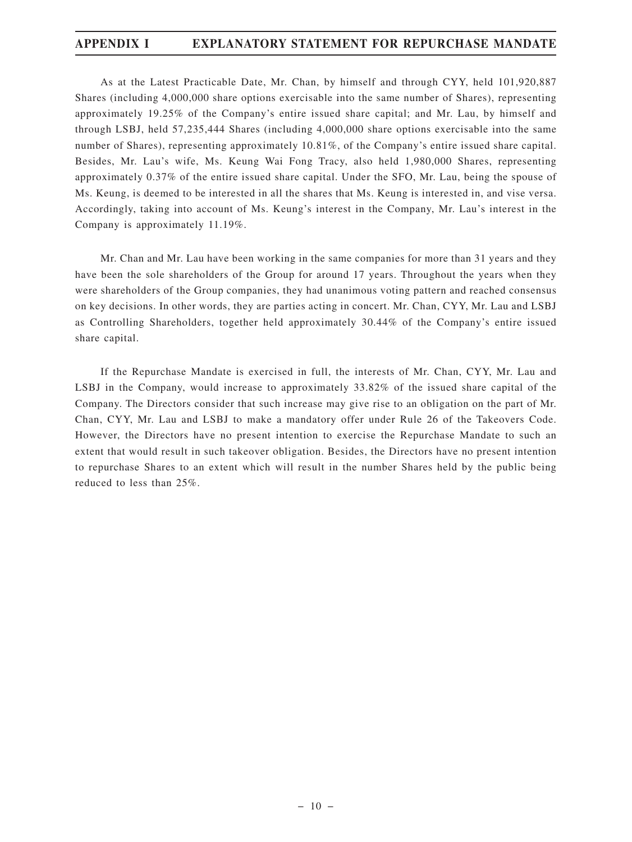As at the Latest Practicable Date, Mr. Chan, by himself and through CYY, held 101,920,887 Shares (including 4,000,000 share options exercisable into the same number of Shares), representing approximately 19.25% of the Company's entire issued share capital; and Mr. Lau, by himself and through LSBJ, held 57,235,444 Shares (including 4,000,000 share options exercisable into the same number of Shares), representing approximately 10.81%, of the Company's entire issued share capital. Besides, Mr. Lau's wife, Ms. Keung Wai Fong Tracy, also held 1,980,000 Shares, representing approximately 0.37% of the entire issued share capital. Under the SFO, Mr. Lau, being the spouse of Ms. Keung, is deemed to be interested in all the shares that Ms. Keung is interested in, and vise versa. Accordingly, taking into account of Ms. Keung's interest in the Company, Mr. Lau's interest in the Company is approximately 11.19%.

Mr. Chan and Mr. Lau have been working in the same companies for more than 31 years and they have been the sole shareholders of the Group for around 17 years. Throughout the years when they were shareholders of the Group companies, they had unanimous voting pattern and reached consensus on key decisions. In other words, they are parties acting in concert. Mr. Chan, CYY, Mr. Lau and LSBJ as Controlling Shareholders, together held approximately 30.44% of the Company's entire issued share capital.

If the Repurchase Mandate is exercised in full, the interests of Mr. Chan, CYY, Mr. Lau and LSBJ in the Company, would increase to approximately 33.82% of the issued share capital of the Company. The Directors consider that such increase may give rise to an obligation on the part of Mr. Chan, CYY, Mr. Lau and LSBJ to make a mandatory offer under Rule 26 of the Takeovers Code. However, the Directors have no present intention to exercise the Repurchase Mandate to such an extent that would result in such takeover obligation. Besides, the Directors have no present intention to repurchase Shares to an extent which will result in the number Shares held by the public being reduced to less than 25%.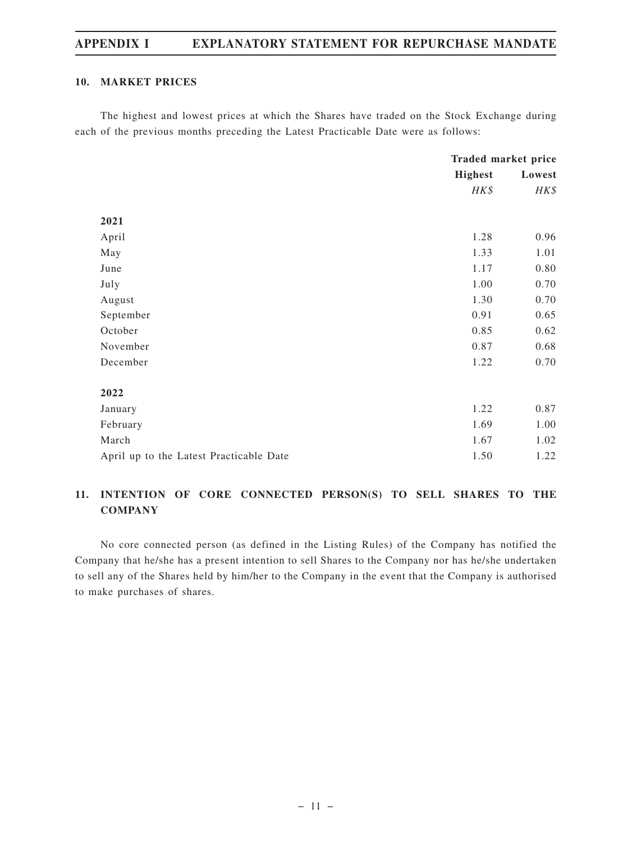#### **10. MARKET PRICES**

The highest and lowest prices at which the Shares have traded on the Stock Exchange during each of the previous months preceding the Latest Practicable Date were as follows:

|                                         | Traded market price |        |
|-----------------------------------------|---------------------|--------|
|                                         | <b>Highest</b>      | Lowest |
|                                         | HK\$                | HK\$   |
|                                         |                     |        |
| 2021                                    |                     |        |
| April                                   | 1.28                | 0.96   |
| May                                     | 1.33                | 1.01   |
| June                                    | 1.17                | 0.80   |
| July                                    | 1.00                | 0.70   |
| August                                  | 1.30                | 0.70   |
| September                               | 0.91                | 0.65   |
| October                                 | 0.85                | 0.62   |
| November                                | 0.87                | 0.68   |
| December                                | 1.22                | 0.70   |
|                                         |                     |        |
| 2022                                    |                     |        |
| January                                 | 1.22                | 0.87   |
| February                                | 1.69                | 1.00   |
| March                                   | 1.67                | 1.02   |
| April up to the Latest Practicable Date | 1.50                | 1.22   |

# **11. INTENTION OF CORE CONNECTED PERSON(S) TO SELL SHARES TO THE COMPANY**

No core connected person (as defined in the Listing Rules) of the Company has notified the Company that he/she has a present intention to sell Shares to the Company nor has he/she undertaken to sell any of the Shares held by him/her to the Company in the event that the Company is authorised to make purchases of shares.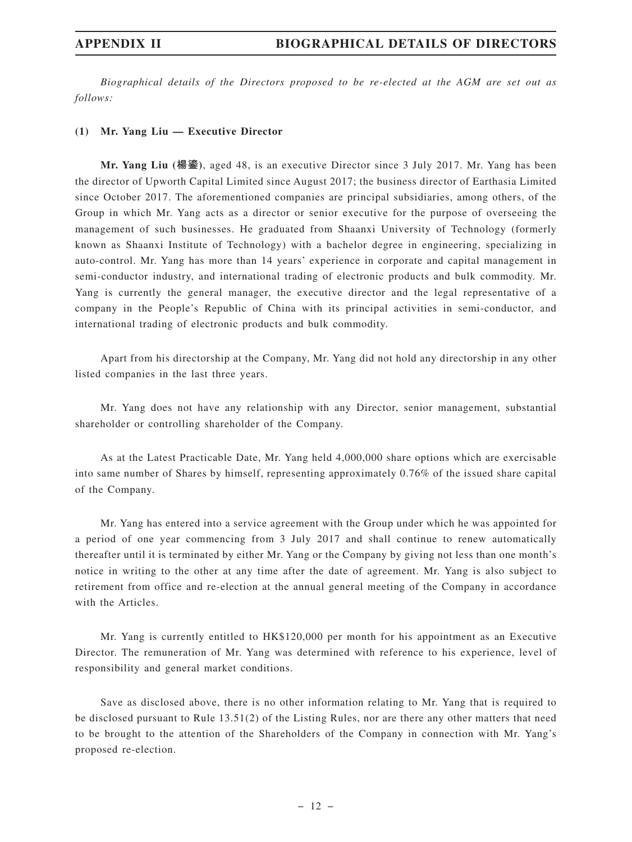*Biographical details of the Directors proposed to be re-elected at the AGM are set out as follows:*

#### **(1) Mr. Yang Liu — Executive Director**

**Mr. Yang Liu (楊鎏)**, aged 48, is an executive Director since 3 July 2017. Mr. Yang has been the director of Upworth Capital Limited since August 2017; the business director of Earthasia Limited since October 2017. The aforementioned companies are principal subsidiaries, among others, of the Group in which Mr. Yang acts as a director or senior executive for the purpose of overseeing the management of such businesses. He graduated from Shaanxi University of Technology (formerly known as Shaanxi Institute of Technology) with a bachelor degree in engineering, specializing in auto-control. Mr. Yang has more than 14 years' experience in corporate and capital management in semi-conductor industry, and international trading of electronic products and bulk commodity. Mr. Yang is currently the general manager, the executive director and the legal representative of a company in the People's Republic of China with its principal activities in semi-conductor, and international trading of electronic products and bulk commodity.

Apart from his directorship at the Company, Mr. Yang did not hold any directorship in any other listed companies in the last three years.

Mr. Yang does not have any relationship with any Director, senior management, substantial shareholder or controlling shareholder of the Company.

As at the Latest Practicable Date, Mr. Yang held 4,000,000 share options which are exercisable into same number of Shares by himself, representing approximately 0.76% of the issued share capital of the Company.

Mr. Yang has entered into a service agreement with the Group under which he was appointed for a period of one year commencing from 3 July 2017 and shall continue to renew automatically thereafter until it is terminated by either Mr. Yang or the Company by giving not less than one month's notice in writing to the other at any time after the date of agreement. Mr. Yang is also subject to retirement from office and re-election at the annual general meeting of the Company in accordance with the Articles.

Mr. Yang is currently entitled to HK\$120,000 per month for his appointment as an Executive Director. The remuneration of Mr. Yang was determined with reference to his experience, level of responsibility and general market conditions.

Save as disclosed above, there is no other information relating to Mr. Yang that is required to be disclosed pursuant to Rule 13.51(2) of the Listing Rules, nor are there any other matters that need to be brought to the attention of the Shareholders of the Company in connection with Mr. Yang's proposed re-election.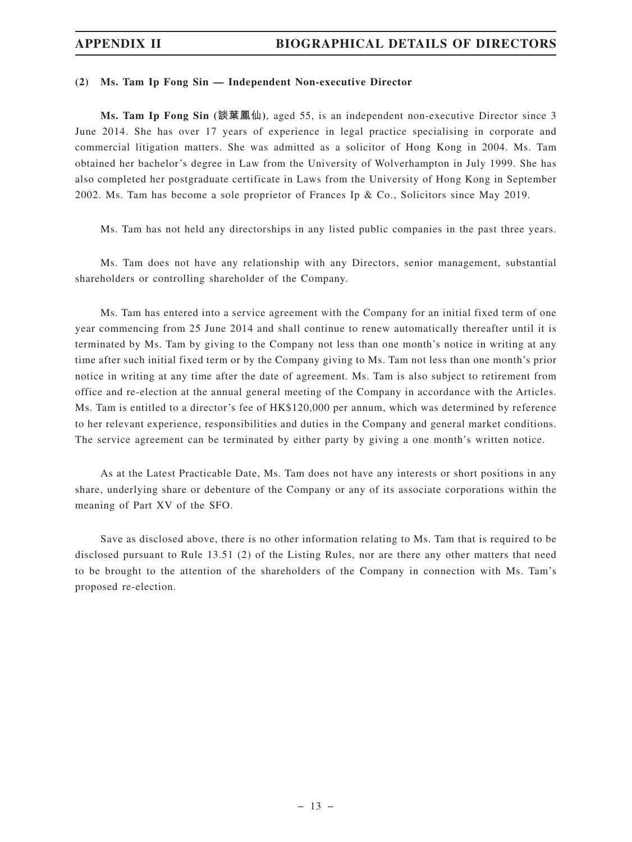#### **(2) Ms. Tam Ip Fong Sin — Independent Non-executive Director**

**Ms. Tam Ip Fong Sin (談葉鳳仙)**, aged 55, is an independent non-executive Director since 3 June 2014. She has over 17 years of experience in legal practice specialising in corporate and commercial litigation matters. She was admitted as a solicitor of Hong Kong in 2004. Ms. Tam obtained her bachelor's degree in Law from the University of Wolverhampton in July 1999. She has also completed her postgraduate certificate in Laws from the University of Hong Kong in September 2002. Ms. Tam has become a sole proprietor of Frances Ip & Co., Solicitors since May 2019.

Ms. Tam has not held any directorships in any listed public companies in the past three years.

Ms. Tam does not have any relationship with any Directors, senior management, substantial shareholders or controlling shareholder of the Company.

Ms. Tam has entered into a service agreement with the Company for an initial fixed term of one year commencing from 25 June 2014 and shall continue to renew automatically thereafter until it is terminated by Ms. Tam by giving to the Company not less than one month's notice in writing at any time after such initial fixed term or by the Company giving to Ms. Tam not less than one month's prior notice in writing at any time after the date of agreement. Ms. Tam is also subject to retirement from office and re-election at the annual general meeting of the Company in accordance with the Articles. Ms. Tam is entitled to a director's fee of HK\$120,000 per annum, which was determined by reference to her relevant experience, responsibilities and duties in the Company and general market conditions. The service agreement can be terminated by either party by giving a one month's written notice.

As at the Latest Practicable Date, Ms. Tam does not have any interests or short positions in any share, underlying share or debenture of the Company or any of its associate corporations within the meaning of Part XV of the SFO.

Save as disclosed above, there is no other information relating to Ms. Tam that is required to be disclosed pursuant to Rule 13.51 (2) of the Listing Rules, nor are there any other matters that need to be brought to the attention of the shareholders of the Company in connection with Ms. Tam's proposed re-election.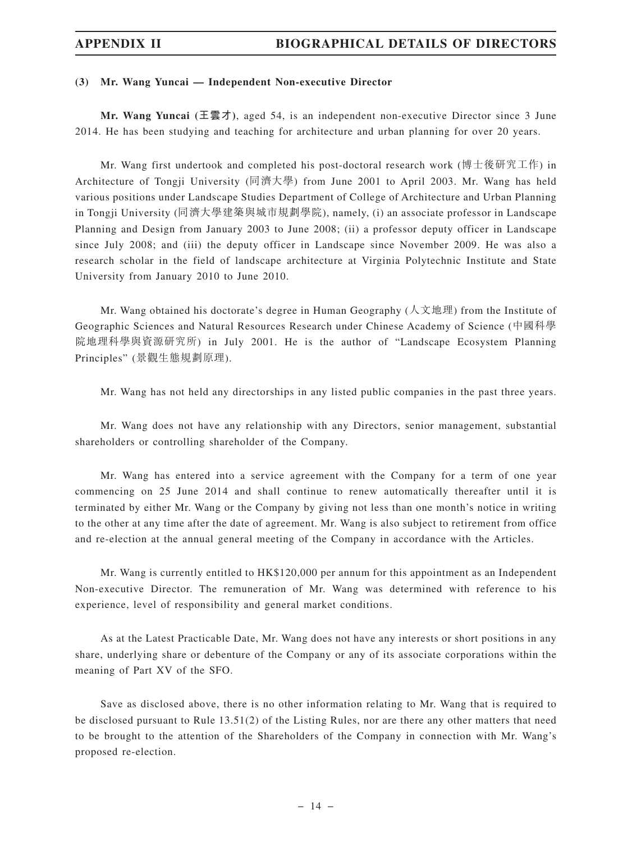#### **(3) Mr. Wang Yuncai — Independent Non-executive Director**

**Mr. Wang Yuncai (王雲才)**, aged 54, is an independent non-executive Director since 3 June 2014. He has been studying and teaching for architecture and urban planning for over 20 years.

Mr. Wang first undertook and completed his post-doctoral research work (博士後研究工作) in Architecture of Tongji University (同濟大學) from June 2001 to April 2003. Mr. Wang has held various positions under Landscape Studies Department of College of Architecture and Urban Planning in Tongji University (同濟大學建築與城市規劃學院), namely, (i) an associate professor in Landscape Planning and Design from January 2003 to June 2008; (ii) a professor deputy officer in Landscape since July 2008; and (iii) the deputy officer in Landscape since November 2009. He was also a research scholar in the field of landscape architecture at Virginia Polytechnic Institute and State University from January 2010 to June 2010.

Mr. Wang obtained his doctorate's degree in Human Geography (人文地理) from the Institute of Geographic Sciences and Natural Resources Research under Chinese Academy of Science (中國科學 院地理科學與資源研究所) in July 2001. He is the author of "Landscape Ecosystem Planning Principles" (景觀生態規劃原理).

Mr. Wang has not held any directorships in any listed public companies in the past three years.

Mr. Wang does not have any relationship with any Directors, senior management, substantial shareholders or controlling shareholder of the Company.

Mr. Wang has entered into a service agreement with the Company for a term of one year commencing on 25 June 2014 and shall continue to renew automatically thereafter until it is terminated by either Mr. Wang or the Company by giving not less than one month's notice in writing to the other at any time after the date of agreement. Mr. Wang is also subject to retirement from office and re-election at the annual general meeting of the Company in accordance with the Articles.

Mr. Wang is currently entitled to HK\$120,000 per annum for this appointment as an Independent Non-executive Director. The remuneration of Mr. Wang was determined with reference to his experience, level of responsibility and general market conditions.

As at the Latest Practicable Date, Mr. Wang does not have any interests or short positions in any share, underlying share or debenture of the Company or any of its associate corporations within the meaning of Part XV of the SFO.

Save as disclosed above, there is no other information relating to Mr. Wang that is required to be disclosed pursuant to Rule 13.51(2) of the Listing Rules, nor are there any other matters that need to be brought to the attention of the Shareholders of the Company in connection with Mr. Wang's proposed re-election.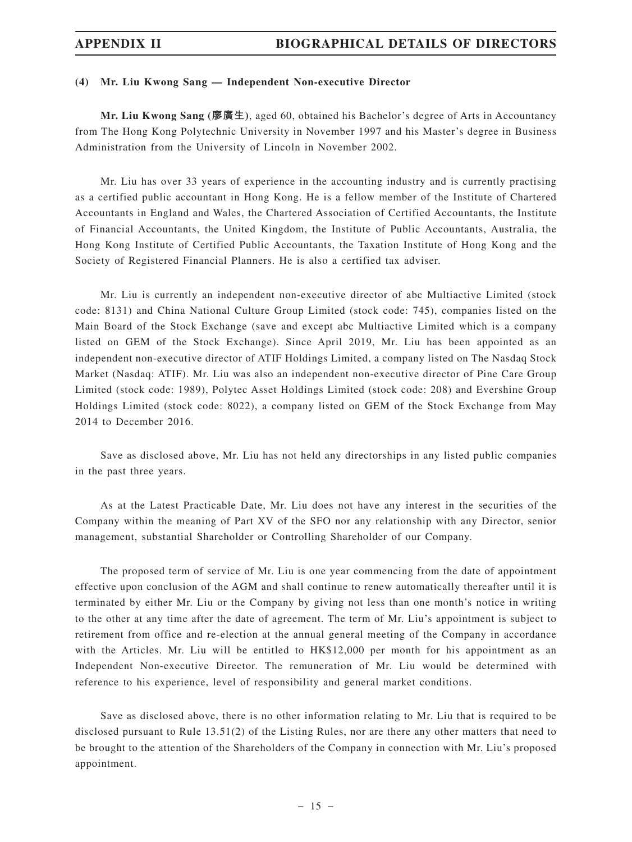#### **(4) Mr. Liu Kwong Sang — Independent Non-executive Director**

**Mr. Liu Kwong Sang (廖廣生)**, aged 60, obtained his Bachelor's degree of Arts in Accountancy from The Hong Kong Polytechnic University in November 1997 and his Master's degree in Business Administration from the University of Lincoln in November 2002.

Mr. Liu has over 33 years of experience in the accounting industry and is currently practising as a certified public accountant in Hong Kong. He is a fellow member of the Institute of Chartered Accountants in England and Wales, the Chartered Association of Certified Accountants, the Institute of Financial Accountants, the United Kingdom, the Institute of Public Accountants, Australia, the Hong Kong Institute of Certified Public Accountants, the Taxation Institute of Hong Kong and the Society of Registered Financial Planners. He is also a certified tax adviser.

Mr. Liu is currently an independent non-executive director of abc Multiactive Limited (stock code: 8131) and China National Culture Group Limited (stock code: 745), companies listed on the Main Board of the Stock Exchange (save and except abc Multiactive Limited which is a company listed on GEM of the Stock Exchange). Since April 2019, Mr. Liu has been appointed as an independent non-executive director of ATIF Holdings Limited, a company listed on The Nasdaq Stock Market (Nasdaq: ATIF). Mr. Liu was also an independent non-executive director of Pine Care Group Limited (stock code: 1989), Polytec Asset Holdings Limited (stock code: 208) and Evershine Group Holdings Limited (stock code: 8022), a company listed on GEM of the Stock Exchange from May 2014 to December 2016.

Save as disclosed above, Mr. Liu has not held any directorships in any listed public companies in the past three years.

As at the Latest Practicable Date, Mr. Liu does not have any interest in the securities of the Company within the meaning of Part XV of the SFO nor any relationship with any Director, senior management, substantial Shareholder or Controlling Shareholder of our Company.

The proposed term of service of Mr. Liu is one year commencing from the date of appointment effective upon conclusion of the AGM and shall continue to renew automatically thereafter until it is terminated by either Mr. Liu or the Company by giving not less than one month's notice in writing to the other at any time after the date of agreement. The term of Mr. Liu's appointment is subject to retirement from office and re-election at the annual general meeting of the Company in accordance with the Articles. Mr. Liu will be entitled to HK\$12,000 per month for his appointment as an Independent Non-executive Director. The remuneration of Mr. Liu would be determined with reference to his experience, level of responsibility and general market conditions.

Save as disclosed above, there is no other information relating to Mr. Liu that is required to be disclosed pursuant to Rule 13.51(2) of the Listing Rules, nor are there any other matters that need to be brought to the attention of the Shareholders of the Company in connection with Mr. Liu's proposed appointment.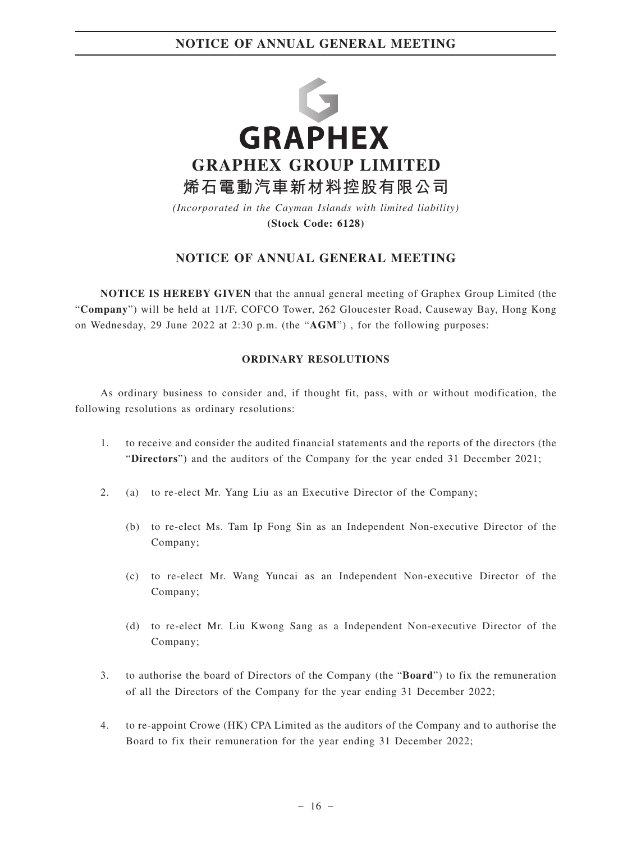

**(Stock Code: 6128)**

# **NOTICE OF ANNUAL GENERAL MEETING**

**NOTICE IS HEREBY GIVEN** that the annual general meeting of Graphex Group Limited (the "**Company**") will be held at 11/F, COFCO Tower, 262 Gloucester Road, Causeway Bay, Hong Kong on Wednesday, 29 June 2022 at 2:30 p.m. (the "**AGM**") , for the following purposes:

### **ORDINARY RESOLUTIONS**

As ordinary business to consider and, if thought fit, pass, with or without modification, the following resolutions as ordinary resolutions:

- 1. to receive and consider the audited financial statements and the reports of the directors (the "**Directors**") and the auditors of the Company for the year ended 31 December 2021;
- 2. (a) to re-elect Mr. Yang Liu as an Executive Director of the Company;
	- (b) to re-elect Ms. Tam Ip Fong Sin as an Independent Non-executive Director of the Company;
	- (c) to re-elect Mr. Wang Yuncai as an Independent Non-executive Director of the Company;
	- (d) to re-elect Mr. Liu Kwong Sang as a Independent Non-executive Director of the Company;
- 3. to authorise the board of Directors of the Company (the "**Board**") to fix the remuneration of all the Directors of the Company for the year ending 31 December 2022;
- 4. to re-appoint Crowe (HK) CPA Limited as the auditors of the Company and to authorise the Board to fix their remuneration for the year ending 31 December 2022;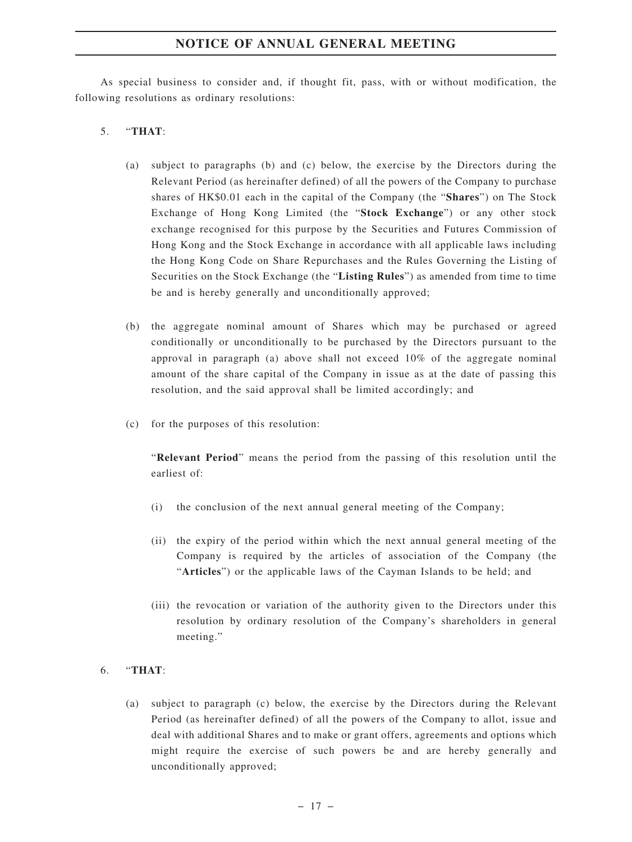# **NOTICE OF ANNUAL GENERAL MEETING**

As special business to consider and, if thought fit, pass, with or without modification, the following resolutions as ordinary resolutions:

### 5. "**THAT**:

- (a) subject to paragraphs (b) and (c) below, the exercise by the Directors during the Relevant Period (as hereinafter defined) of all the powers of the Company to purchase shares of HK\$0.01 each in the capital of the Company (the "**Shares**") on The Stock Exchange of Hong Kong Limited (the "**Stock Exchange**") or any other stock exchange recognised for this purpose by the Securities and Futures Commission of Hong Kong and the Stock Exchange in accordance with all applicable laws including the Hong Kong Code on Share Repurchases and the Rules Governing the Listing of Securities on the Stock Exchange (the "**Listing Rules**") as amended from time to time be and is hereby generally and unconditionally approved;
- (b) the aggregate nominal amount of Shares which may be purchased or agreed conditionally or unconditionally to be purchased by the Directors pursuant to the approval in paragraph (a) above shall not exceed 10% of the aggregate nominal amount of the share capital of the Company in issue as at the date of passing this resolution, and the said approval shall be limited accordingly; and
- (c) for the purposes of this resolution:

"**Relevant Period**" means the period from the passing of this resolution until the earliest of:

- (i) the conclusion of the next annual general meeting of the Company;
- (ii) the expiry of the period within which the next annual general meeting of the Company is required by the articles of association of the Company (the "**Articles**") or the applicable laws of the Cayman Islands to be held; and
- (iii) the revocation or variation of the authority given to the Directors under this resolution by ordinary resolution of the Company's shareholders in general meeting."

## 6. "**THAT**:

(a) subject to paragraph (c) below, the exercise by the Directors during the Relevant Period (as hereinafter defined) of all the powers of the Company to allot, issue and deal with additional Shares and to make or grant offers, agreements and options which might require the exercise of such powers be and are hereby generally and unconditionally approved;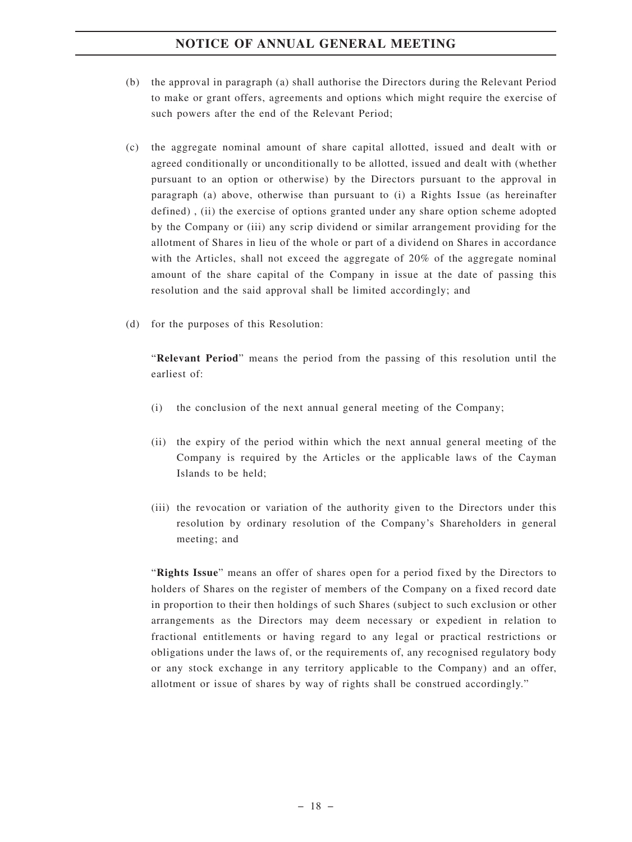# **NOTICE OF ANNUAL GENERAL MEETING**

- (b) the approval in paragraph (a) shall authorise the Directors during the Relevant Period to make or grant offers, agreements and options which might require the exercise of such powers after the end of the Relevant Period;
- (c) the aggregate nominal amount of share capital allotted, issued and dealt with or agreed conditionally or unconditionally to be allotted, issued and dealt with (whether pursuant to an option or otherwise) by the Directors pursuant to the approval in paragraph (a) above, otherwise than pursuant to (i) a Rights Issue (as hereinafter defined) , (ii) the exercise of options granted under any share option scheme adopted by the Company or (iii) any scrip dividend or similar arrangement providing for the allotment of Shares in lieu of the whole or part of a dividend on Shares in accordance with the Articles, shall not exceed the aggregate of 20% of the aggregate nominal amount of the share capital of the Company in issue at the date of passing this resolution and the said approval shall be limited accordingly; and
- (d) for the purposes of this Resolution:

"**Relevant Period**" means the period from the passing of this resolution until the earliest of:

- (i) the conclusion of the next annual general meeting of the Company;
- (ii) the expiry of the period within which the next annual general meeting of the Company is required by the Articles or the applicable laws of the Cayman Islands to be held;
- (iii) the revocation or variation of the authority given to the Directors under this resolution by ordinary resolution of the Company's Shareholders in general meeting; and

"**Rights Issue**" means an offer of shares open for a period fixed by the Directors to holders of Shares on the register of members of the Company on a fixed record date in proportion to their then holdings of such Shares (subject to such exclusion or other arrangements as the Directors may deem necessary or expedient in relation to fractional entitlements or having regard to any legal or practical restrictions or obligations under the laws of, or the requirements of, any recognised regulatory body or any stock exchange in any territory applicable to the Company) and an offer, allotment or issue of shares by way of rights shall be construed accordingly."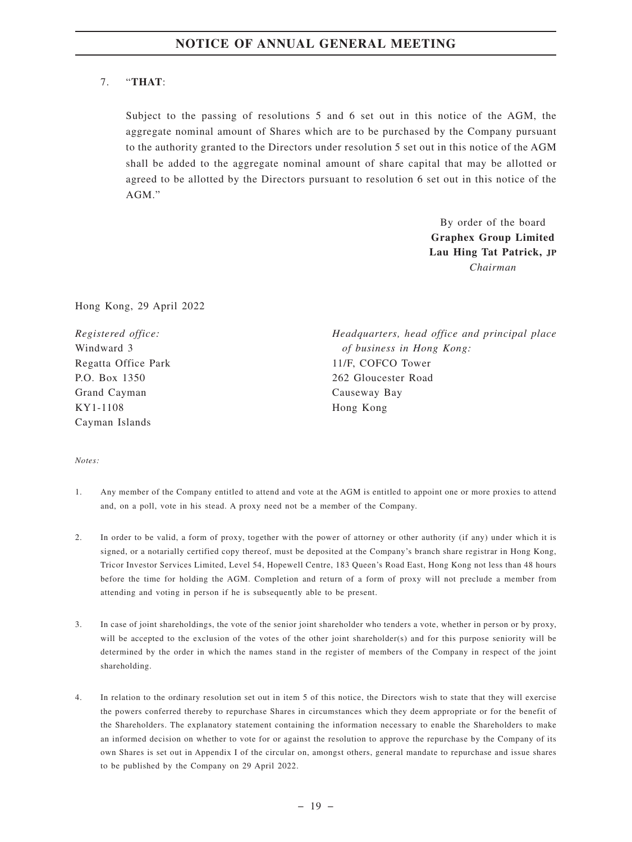# 7. "**THAT**:

Subject to the passing of resolutions 5 and 6 set out in this notice of the AGM, the aggregate nominal amount of Shares which are to be purchased by the Company pursuant to the authority granted to the Directors under resolution 5 set out in this notice of the AGM shall be added to the aggregate nominal amount of share capital that may be allotted or agreed to be allotted by the Directors pursuant to resolution 6 set out in this notice of the AGM."

> By order of the board **Graphex Group Limited Lau Hing Tat Patrick, JP** *Chairman*

Hong Kong, 29 April 2022

*Registered office:* Windward 3 Regatta Office Park P.O. Box 1350 Grand Cayman KY1-1108 Cayman Islands

*Headquarters, head office and principal place of business in Hong Kong:* 11/F, COFCO Tower 262 Gloucester Road Causeway Bay Hong Kong

#### *Notes:*

- 1. Any member of the Company entitled to attend and vote at the AGM is entitled to appoint one or more proxies to attend and, on a poll, vote in his stead. A proxy need not be a member of the Company.
- 2. In order to be valid, a form of proxy, together with the power of attorney or other authority (if any) under which it is signed, or a notarially certified copy thereof, must be deposited at the Company's branch share registrar in Hong Kong, Tricor Investor Services Limited, Level 54, Hopewell Centre, 183 Queen's Road East, Hong Kong not less than 48 hours before the time for holding the AGM. Completion and return of a form of proxy will not preclude a member from attending and voting in person if he is subsequently able to be present.
- 3. In case of joint shareholdings, the vote of the senior joint shareholder who tenders a vote, whether in person or by proxy, will be accepted to the exclusion of the votes of the other joint shareholder(s) and for this purpose seniority will be determined by the order in which the names stand in the register of members of the Company in respect of the joint shareholding.
- 4. In relation to the ordinary resolution set out in item 5 of this notice, the Directors wish to state that they will exercise the powers conferred thereby to repurchase Shares in circumstances which they deem appropriate or for the benefit of the Shareholders. The explanatory statement containing the information necessary to enable the Shareholders to make an informed decision on whether to vote for or against the resolution to approve the repurchase by the Company of its own Shares is set out in Appendix I of the circular on, amongst others, general mandate to repurchase and issue shares to be published by the Company on 29 April 2022.